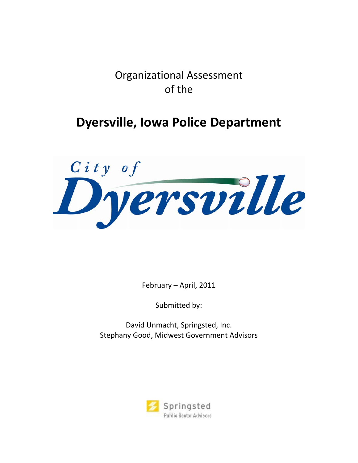Organizational Assessment of the

# **Dyersville, Iowa Police Department**



February - April, 2011

Submitted by:

Stephany Good, Midwest Government Advisors David Unmacht, Springsted, Inc.

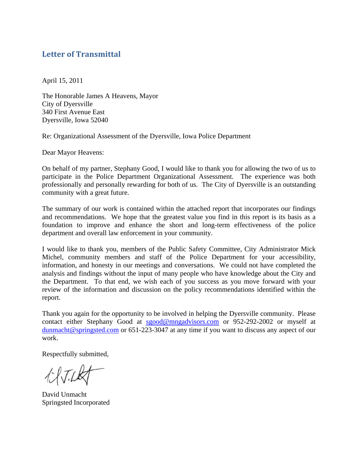### **Letter of Transmittal**

April 15, 2011

The Honorable James A Heavens, Mayor City of Dyersville 340 First Avenue East Dyersville, Iowa 52040

Re: Organizational Assessment of the Dyersville, Iowa Police Department

Dear Mayor Heavens:

On behalf of my partner, Stephany Good, I would like to thank you for allowing the two of us to participate in the Police Department Organizational Assessment. The experience was both professionally and personally rewarding for both of us. The City of Dyersville is an outstanding community with a great future.

The summary of our work is contained within the attached report that incorporates our findings and recommendations. We hope that the greatest value you find in this report is its basis as a foundation to improve and enhance the short and long-term effectiveness of the police department and overall law enforcement in your community.

I would like to thank you, members of the Public Safety Committee, City Administrator Mick Michel, community members and staff of the Police Department for your accessibility, information, and honesty in our meetings and conversations. We could not have completed the analysis and findings without the input of many people who have knowledge about the City and the Department. To that end, we wish each of you success as you move forward with your review of the information and discussion on the policy recommendations identified within the report.

Thank you again for the opportunity to be involved in helping the Dyersville community. Please contact either Stephany Good at [sgood@mngadvisors.com](mailto:sgood@mngadvisors.com) or 952-292-2002 or myself at [dunmacht@springsted.com](mailto:dunmacht@springsted.com) or 651-223-3047 at any time if you want to discuss any aspect of our work.

Respectfully submitted,

1.XT.LK

David Unmacht Springsted Incorporated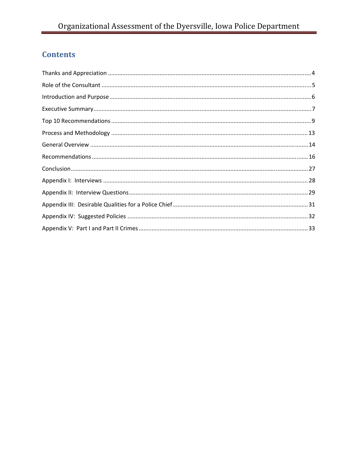## **Contents**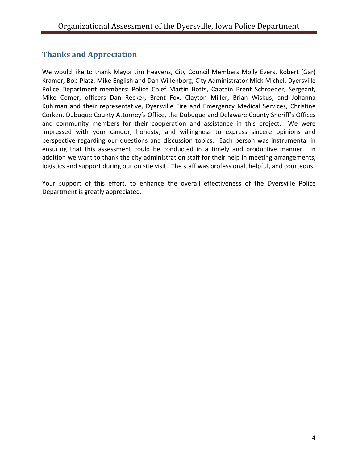### <span id="page-3-0"></span>**Thanks and Appreciation**

We would like to thank Mayor Jim Heavens, City Council Members Molly Evers, Robert (Gar) Kramer, Bob Platz, Mike English and Dan Willenborg, City Administrator Mick Michel, Dyersville Police Department members: Police Chief Martin Botts, Captain Brent Schroeder, Sergeant, Mike Comer, officers Dan Recker, Brent Fox, Clayton Miller, Brian Wiskus, and Johanna Kuhlman and their representative, Dyersville Fire and Emergency Medical Services, Christine Corken, Dubuque County Attorney's Office, the Dubuque and Delaware County Sheriff's Offices and community members for their cooperation and assistance in this project. We were impressed with your candor, honesty, and willingness to express sincere opinions and perspective regarding our questions and discussion topics. Each person was instrumental in ensuring that this assessment could be conducted in a timely and productive manner. In addition we want to thank the city administration staff for their help in meeting arrangements, logistics and support during our on site visit. The staff was professional, helpful, and courteous.

Your support of this effort, to enhance the overall effectiveness of the Dyersville Police Department is greatly appreciated.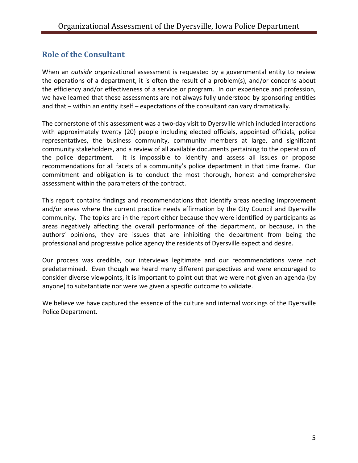### <span id="page-4-0"></span>**Role of the Consultant**

When an *outside* organizational assessment is requested by a governmental entity to review the operations of a department, it is often the result of a problem(s), and/or concerns about the efficiency and/or effectiveness of a service or program. In our experience and profession, we have learned that these assessments are not always fully understood by sponsoring entities and that – within an entity itself – expectations of the consultant can vary dramatically.

The cornerstone of this assessment was a two-day visit to Dyersville which included interactions with approximately twenty (20) people including elected officials, appointed officials, police representatives, the business community, community members at large, and significant community stakeholders, and a review of all available documents pertaining to the operation of the police department. It is impossible to identify and assess all issues or propose recommendations for all facets of a community's police department in that time frame. Our commitment and obligation is to conduct the most thorough, honest and comprehensive assessment within the parameters of the contract.

This report contains findings and recommendations that identify areas needing improvement and/or areas where the current practice needs affirmation by the City Council and Dyersville community. The topics are in the report either because they were identified by participants as areas negatively affecting the overall performance of the department, or because, in the authors' opinions, they are issues that are inhibiting the department from being the professional and progressive police agency the residents of Dyersville expect and desire.

Our process was credible, our interviews legitimate and our recommendations were not predetermined. Even though we heard many different perspectives and were encouraged to consider diverse viewpoints, it is important to point out that we were not given an agenda (by anyone) to substantiate nor were we given a specific outcome to validate.

We believe we have captured the essence of the culture and internal workings of the Dyersville Police Department.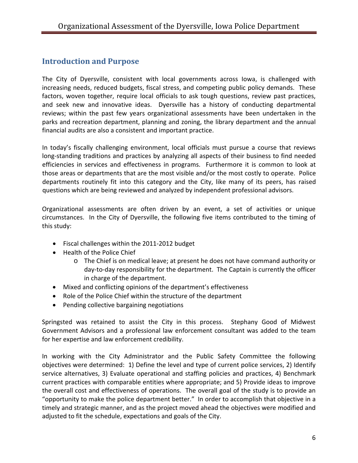### <span id="page-5-0"></span>**Introduction and Purpose**

The City of Dyersville, consistent with local governments across Iowa, is challenged with increasing needs, reduced budgets, fiscal stress, and competing public policy demands. These factors, woven together, require local officials to ask tough questions, review past practices, and seek new and innovative ideas. Dyersville has a history of conducting departmental reviews; within the past few years organizational assessments have been undertaken in the parks and recreation department, planning and zoning, the library department and the annual financial audits are also a consistent and important practice.

In today's fiscally challenging environment, local officials must pursue a course that reviews long-standing traditions and practices by analyzing all aspects of their business to find needed efficiencies in services and effectiveness in programs. Furthermore it is common to look at those areas or departments that are the most visible and/or the most costly to operate. Police departments routinely fit into this category and the City, like many of its peers, has raised questions which are being reviewed and analyzed by independent professional advisors.

Organizational assessments are often driven by an event, a set of activities or unique circumstances. In the City of Dyersville, the following five items contributed to the timing of this study:

- Fiscal challenges within the 2011‐2012 budget
- Health of the Police Chief
	- o The Chief is on medical leave; at present he does not have command authority or day‐to‐day responsibility for the department. The Captain is currently the officer in charge of the department.
- Mixed and conflicting opinions of the department's effectiveness
- Role of the Police Chief within the structure of the department
- Pending collective bargaining negotiations

Springsted was retained to assist the City in this process. Stephany Good of Midwest Government Advisors and a professional law enforcement consultant was added to the team for her expertise and law enforcement credibility.

In working with the City Administrator and the Public Safety Committee the following objectives were determined: 1) Define the level and type of current police services, 2) Identify service alternatives, 3) Evaluate operational and staffing policies and practices, 4) Benchmark current practices with comparable entities where appropriate; and 5) Provide ideas to improve the overall cost and effectiveness of operations. The overall goal of the study is to provide an "opportunity to make the police department better." In order to accomplish that objective in a timely and strategic manner, and as the project moved ahead the objectives were modified and adjusted to fit the schedule, expectations and goals of the City.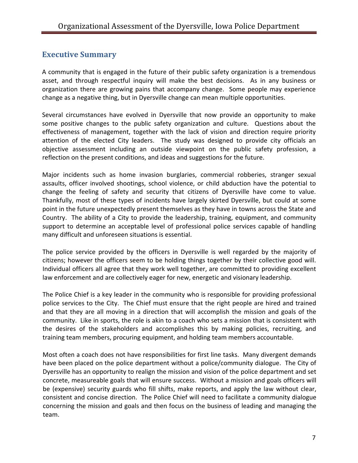### <span id="page-6-0"></span>**Executive Summary**

A community that is engaged in the future of their public safety organization is a tremendous asset, and through respectful inquiry will make the best decisions. As in any business or organization there are growing pains that accompany change. Some people may experience change as a negative thing, but in Dyersville change can mean multiple opportunities.

Several circumstances have evolved in Dyersville that now provide an opportunity to make some positive changes to the public safety organization and culture. Questions about the effectiveness of management, together with the lack of vision and direction require priority attention of the elected City leaders. The study was designed to provide city officials an objective assessment including an outside viewpoint on the public safety profession, a reflection on the present conditions, and ideas and suggestions for the future.

Major incidents such as home invasion burglaries, commercial robberies, stranger sexual assaults, officer involved shootings, school violence, or child abduction have the potential to change the feeling of safety and security that citizens of Dyersville have come to value. Thankfully, most of these types of incidents have largely skirted Dyersville, but could at some point in the future unexpectedly present themselves as they have in towns across the State and Country. The ability of a City to provide the leadership, training, equipment, and community support to determine an acceptable level of professional police services capable of handling many difficult and unforeseen situations is essential.

The police service provided by the officers in Dyersville is well regarded by the majority of citizens; however the officers seem to be holding things together by their collective good will. Individual officers all agree that they work well together, are committed to providing excellent law enforcement and are collectively eager for new, energetic and visionary leadership.

The Police Chief is a key leader in the community who is responsible for providing professional police services to the City. The Chief must ensure that the right people are hired and trained and that they are all moving in a direction that will accomplish the mission and goals of the community. Like in sports, the role is akin to a coach who sets a mission that is consistent with the desires of the stakeholders and accomplishes this by making policies, recruiting, and training team members, procuring equipment, and holding team members accountable.

Most often a coach does not have responsibilities for first line tasks. Many divergent demands have been placed on the police department without a police/community dialogue. The City of Dyersville has an opportunity to realign the mission and vision of the police department and set concrete, measureable goals that will ensure success. Without a mission and goals officers will be (expensive) security guards who fill shifts, make reports, and apply the law without clear, consistent and concise direction. The Police Chief will need to facilitate a community dialogue concerning the mission and goals and then focus on the business of leading and managing the team.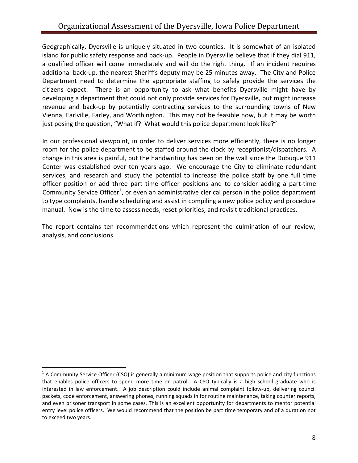Geographically, Dyersville is uniquely situated in two counties. It is somewhat of an isolated island for public safety response and back‐up. People in Dyersville believe that if they dial 911, a qualified officer will come immediately and will do the right thing. If an incident requires additional back‐up, the nearest Sheriff's deputy may be 25 minutes away. The City and Police Department need to determine the appropriate staffing to safely provide the services the citizens expect. There is an opportunity to ask what benefits Dyersville might have by developing a department that could not only provide services for Dyersville, but might increase revenue and back-up by potentially contracting services to the surrounding towns of New Vienna, Earlville, Farley, and Worthington. This may not be feasible now, but it may be worth just posing the question, "What if? What would this police department look like?"

In our professional viewpoint, in order to deliver services more efficiently, there is no longer room for the police department to be staffed around the clock by receptionist/dispatchers. A change in this area is painful, but the handwriting has been on the wall since the Dubuque 911 Center was established over ten years ago. We encourage the City to eliminate redundant services, and research and study the potential to increase the police staff by one full time officer position or add three part time officer positions and to consider adding a part‐time Community Service Officer<sup>[1](#page-7-0)</sup>, or even an administrative clerical person in the police department to type complaints, handle scheduling and assist in compiling a new police policy and procedure manual. Now is the time to assess needs, reset priorities, and revisit traditional practices.

The report contains ten recommendations which represent the culmination of our review, analysis, and conclusions.

<span id="page-7-0"></span> $1$  A Community Service Officer (CSO) is generally a minimum wage position that supports police and city functions that enables police officers to spend more time on patrol. A CSO typically is a high school graduate who is interested in law enforcement. A job description could include animal complaint follow‐up, delivering council packets, code enforcement, answering phones, running squads in for routine maintenance, taking counter reports, and even prisoner transport in some cases. This is an excellent opportunity for departments to mentor potential entry level police officers. We would recommend that the position be part time temporary and of a duration not to exceed two years.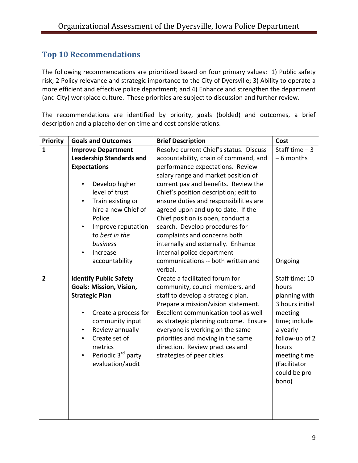### <span id="page-8-0"></span>**Top 10 Recommendations**

The following recommendations are prioritized based on four primary values: 1) Public safety risk; 2 Policy relevance and strategic importance to the City of Dyersville; 3) Ability to operate a more efficient and effective police department; and 4) Enhance and strengthen the department (and City) workplace culture. These priorities are subject to discussion and further review.

The recommendations are identified by priority, goals (bolded) and outcomes, a brief description and a placeholder on time and cost considerations.

| <b>Priority</b> | <b>Goals and Outcomes</b>       | <b>Brief Description</b>                | Cost            |
|-----------------|---------------------------------|-----------------------------------------|-----------------|
| $\mathbf{1}$    | <b>Improve Department</b>       | Resolve current Chief's status. Discuss | Staff time $-3$ |
|                 | <b>Leadership Standards and</b> | accountability, chain of command, and   | $-6$ months     |
|                 | <b>Expectations</b>             | performance expectations. Review        |                 |
|                 |                                 | salary range and market position of     |                 |
|                 | Develop higher<br>$\bullet$     | current pay and benefits. Review the    |                 |
|                 | level of trust                  | Chief's position description; edit to   |                 |
|                 | Train existing or<br>$\bullet$  | ensure duties and responsibilities are  |                 |
|                 | hire a new Chief of             | agreed upon and up to date. If the      |                 |
|                 | Police                          | Chief position is open, conduct a       |                 |
|                 | Improve reputation              | search. Develop procedures for          |                 |
|                 | to best in the                  | complaints and concerns both            |                 |
|                 | business                        | internally and externally. Enhance      |                 |
|                 | Increase                        | internal police department              |                 |
|                 | accountability                  | communications -- both written and      | Ongoing         |
|                 |                                 | verbal.                                 |                 |
| $\overline{2}$  | <b>Identify Public Safety</b>   | Create a facilitated forum for          | Staff time: 10  |
|                 | <b>Goals: Mission, Vision,</b>  | community, council members, and         | hours           |
|                 | <b>Strategic Plan</b>           | staff to develop a strategic plan.      | planning with   |
|                 |                                 | Prepare a mission/vision statement.     | 3 hours initial |
|                 | Create a process for            | Excellent communication tool as well    | meeting         |
|                 | community input                 | as strategic planning outcome. Ensure   | time; include   |
|                 | Review annually<br>$\bullet$    | everyone is working on the same         | a yearly        |
|                 | Create set of                   | priorities and moving in the same       | follow-up of 2  |
|                 | metrics                         | direction. Review practices and         | hours           |
|                 | Periodic 3 <sup>rd</sup> party  | strategies of peer cities.              | meeting time    |
|                 | evaluation/audit                |                                         | (Facilitator    |
|                 |                                 |                                         | could be pro    |
|                 |                                 |                                         | bono)           |
|                 |                                 |                                         |                 |
|                 |                                 |                                         |                 |
|                 |                                 |                                         |                 |
|                 |                                 |                                         |                 |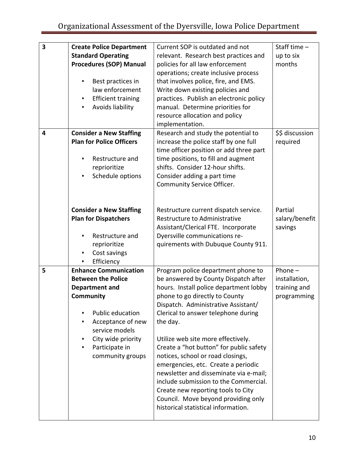| 3 | <b>Create Police Department</b>        | Current SOP is outdated and not         | Staff time $-$  |
|---|----------------------------------------|-----------------------------------------|-----------------|
|   | <b>Standard Operating</b>              | relevant. Research best practices and   | up to six       |
|   | <b>Procedures (SOP) Manual</b>         | policies for all law enforcement        | months          |
|   |                                        | operations; create inclusive process    |                 |
|   | Best practices in                      | that involves police, fire, and EMS.    |                 |
|   | law enforcement                        | Write down existing policies and        |                 |
|   |                                        |                                         |                 |
|   | <b>Efficient training</b><br>$\bullet$ | practices. Publish an electronic policy |                 |
|   | Avoids liability                       | manual. Determine priorities for        |                 |
|   |                                        | resource allocation and policy          |                 |
|   |                                        | implementation.                         |                 |
| 4 | <b>Consider a New Staffing</b>         | Research and study the potential to     | \$\$ discussion |
|   | <b>Plan for Police Officers</b>        | increase the police staff by one full   | required        |
|   |                                        | time officer position or add three part |                 |
|   | Restructure and                        | time positions, to fill and augment     |                 |
|   | reprioritize                           | shifts. Consider 12-hour shifts.        |                 |
|   | Schedule options                       | Consider adding a part time             |                 |
|   |                                        | Community Service Officer.              |                 |
|   |                                        |                                         |                 |
|   |                                        |                                         |                 |
|   | <b>Consider a New Staffing</b>         | Restructure current dispatch service.   | Partial         |
|   | <b>Plan for Dispatchers</b>            | Restructure to Administrative           | salary/benefit  |
|   |                                        | Assistant/Clerical FTE. Incorporate     | savings         |
|   | Restructure and                        | Dyersville communications re-           |                 |
|   | reprioritize                           | quirements with Dubuque County 911.     |                 |
|   | Cost savings                           |                                         |                 |
|   | Efficiency                             |                                         |                 |
| 5 | <b>Enhance Communication</b>           | Program police department phone to      | Phone $-$       |
|   | <b>Between the Police</b>              | be answered by County Dispatch after    | installation,   |
|   | <b>Department and</b>                  | hours. Install police department lobby  | training and    |
|   | <b>Community</b>                       | phone to go directly to County          | programming     |
|   |                                        | Dispatch. Administrative Assistant/     |                 |
|   | Public education                       | Clerical to answer telephone during     |                 |
|   | Acceptance of new                      | the day.                                |                 |
|   | service models                         |                                         |                 |
|   | City wide priority                     | Utilize web site more effectively.      |                 |
|   | Participate in                         | Create a "hot button" for public safety |                 |
|   | community groups                       | notices, school or road closings,       |                 |
|   |                                        | emergencies, etc. Create a periodic     |                 |
|   |                                        | newsletter and disseminate via e-mail;  |                 |
|   |                                        | include submission to the Commercial.   |                 |
|   |                                        | Create new reporting tools to City      |                 |
|   |                                        | Council. Move beyond providing only     |                 |
|   |                                        | historical statistical information.     |                 |
|   |                                        |                                         |                 |
|   |                                        |                                         |                 |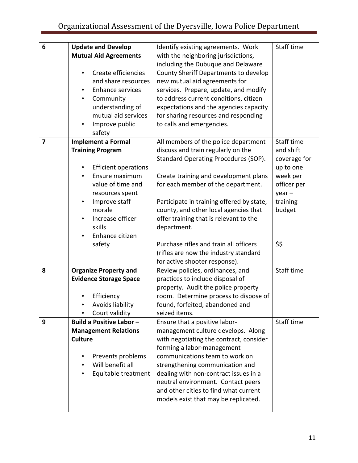| 6                        | <b>Update and Develop</b>     | Identify existing agreements. Work        | Staff time   |
|--------------------------|-------------------------------|-------------------------------------------|--------------|
|                          | <b>Mutual Aid Agreements</b>  | with the neighboring jurisdictions,       |              |
|                          |                               | including the Dubuque and Delaware        |              |
|                          | Create efficiencies           | County Sheriff Departments to develop     |              |
|                          | and share resources           | new mutual aid agreements for             |              |
|                          | <b>Enhance services</b>       | services. Prepare, update, and modify     |              |
|                          | Community<br>٠                | to address current conditions, citizen    |              |
|                          | understanding of              | expectations and the agencies capacity    |              |
|                          | mutual aid services           | for sharing resources and responding      |              |
|                          | Improve public                | to calls and emergencies.                 |              |
|                          | safety                        |                                           |              |
| $\overline{\phantom{a}}$ | <b>Implement a Formal</b>     | All members of the police department      | Staff time   |
|                          | <b>Training Program</b>       | discuss and train regularly on the        | and shift    |
|                          |                               | Standard Operating Procedures (SOP).      | coverage for |
|                          | <b>Efficient operations</b>   |                                           | up to one    |
|                          | Ensure maximum                | Create training and development plans     | week per     |
|                          | value of time and             | for each member of the department.        | officer per  |
|                          | resources spent               |                                           | $year -$     |
|                          | Improve staff                 | Participate in training offered by state, | training     |
|                          | morale                        | county, and other local agencies that     | budget       |
|                          | Increase officer              | offer training that is relevant to the    |              |
|                          | skills                        | department.                               |              |
|                          | Enhance citizen               |                                           |              |
|                          | safety                        | Purchase rifles and train all officers    | \$\$         |
|                          |                               | (rifles are now the industry standard     |              |
|                          |                               | for active shooter response).             |              |
| 8                        | <b>Organize Property and</b>  | Review policies, ordinances, and          | Staff time   |
|                          | <b>Evidence Storage Space</b> | practices to include disposal of          |              |
|                          |                               | property. Audit the police property       |              |
|                          | Efficiency                    | room. Determine process to dispose of     |              |
|                          | Avoids liability              | found, forfeited, abandoned and           |              |
|                          | Court validity                | seized items.                             |              |
| 9                        | Build a Positive Labor-       | Ensure that a positive labor-             | Staff time   |
|                          | <b>Management Relations</b>   | management culture develops. Along        |              |
|                          | <b>Culture</b>                | with negotiating the contract, consider   |              |
|                          |                               | forming a labor-management                |              |
|                          | Prevents problems             | communications team to work on            |              |
|                          | Will benefit all              | strengthening communication and           |              |
|                          | Equitable treatment           | dealing with non-contract issues in a     |              |
|                          |                               | neutral environment. Contact peers        |              |
|                          |                               | and other cities to find what current     |              |
|                          |                               | models exist that may be replicated.      |              |
|                          |                               |                                           |              |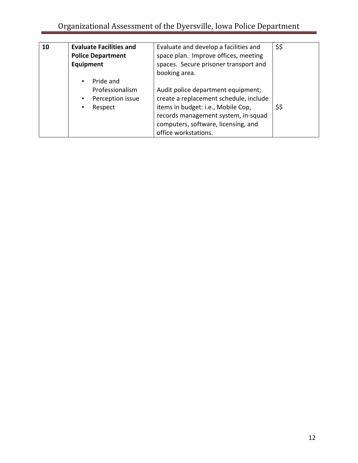| 10 | <b>Evaluate Facilities and</b><br><b>Police Department</b><br>Equipment<br>Pride and | Evaluate and develop a facilities and<br>space plan. Improve offices, meeting<br>spaces. Secure prisoner transport and<br>booking area.                                                                                  | \$\$ |
|----|--------------------------------------------------------------------------------------|--------------------------------------------------------------------------------------------------------------------------------------------------------------------------------------------------------------------------|------|
|    | Professionalism<br>Perception issue<br>$\bullet$<br>Respect<br>$\bullet$             | Audit police department equipment;<br>create a replacement schedule, include<br>items in budget: i.e., Mobile Cop,<br>records management system, in-squad<br>computers, software, licensing, and<br>office workstations. | \$\$ |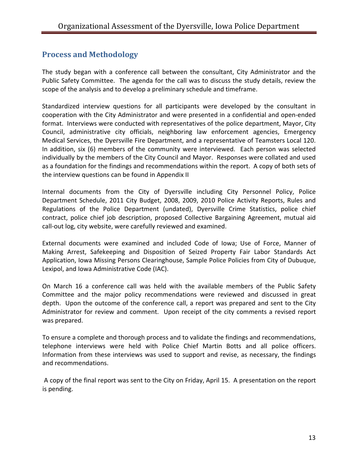### <span id="page-12-0"></span>**Process and Methodology**

The study began with a conference call between the consultant, City Administrator and the Public Safety Committee. The agenda for the call was to discuss the study details, review the scope of the analysis and to develop a preliminary schedule and timeframe.

Standardized interview questions for all participants were developed by the consultant in cooperation with the City Administrator and were presented in a confidential and open‐ended format. Interviews were conducted with representatives of the police department, Mayor, City Council, administrative city officials, neighboring law enforcement agencies, Emergency Medical Services, the Dyersville Fire Department, and a representative of Teamsters Local 120. In addition, six (6) members of the community were interviewed. Each person was selected individually by the members of the City Council and Mayor. Responses were collated and used as a foundation for the findings and recommendations within the report. A copy of both sets of the interview questions can be found in Appendix II

Internal documents from the City of Dyersville including City Personnel Policy, Police Department Schedule, 2011 City Budget, 2008, 2009, 2010 Police Activity Reports, Rules and Regulations of the Police Department (undated), Dyersville Crime Statistics, police chief contract, police chief job description, proposed Collective Bargaining Agreement, mutual aid call‐out log, city website, were carefully reviewed and examined.

External documents were examined and included Code of Iowa; Use of Force, Manner of Making Arrest, Safekeeping and Disposition of Seized Property Fair Labor Standards Act Application, Iowa Missing Persons Clearinghouse, Sample Police Policies from City of Dubuque, Lexipol, and Iowa Administrative Code (IAC).

On March 16 a conference call was held with the available members of the Public Safety Committee and the major policy recommendations were reviewed and discussed in great depth. Upon the outcome of the conference call, a report was prepared and sent to the City Administrator for review and comment. Upon receipt of the city comments a revised report was prepared.

To ensure a complete and thorough process and to validate the findings and recommendations, telephone interviews were held with Police Chief Martin Botts and all police officers. Information from these interviews was used to support and revise, as necessary, the findings and recommendations.

A copy of the final report was sent to the City on Friday, April 15. A presentation on the report is pending.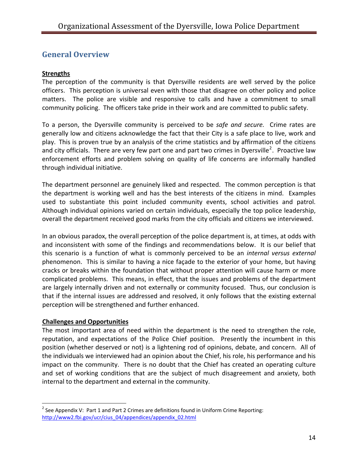### <span id="page-13-0"></span>**General Overview**

#### **Strengths**

The perception of the community is that Dyersville residents are well served by the police officers. This perception is universal even with those that disagree on other policy and police matters. The police are visible and responsive to calls and have a commitment to small community policing. The officers take pride in their work and are committed to public safety.

To a person, the Dyersville community is perceived to be *safe and secure.* Crime rates are generally low and citizens acknowledge the fact that their City is a safe place to live, work and play. This is proven true by an analysis of the crime statistics and by affirmation of the citizens and city officials. There are very few part one and part two crimes in Dyersville<sup>[2](#page-13-1)</sup>. Proactive law enforcement efforts and problem solving on quality of life concerns are informally handled through individual initiative.

The department personnel are genuinely liked and respected. The common perception is that the department is working well and has the best interests of the citizens in mind. Examples used to substantiate this point included community events, school activities and patrol. Although individual opinions varied on certain individuals, especially the top police leadership, overall the department received good marks from the city officials and citizens we interviewed.

In an obvious paradox, the overall perception of the police department is, at times, at odds with and inconsistent with some of the findings and recommendations below. It is our belief that this scenario is a function of what is commonly perceived to be an *internal versus external* phenomenon. This is similar to having a nice façade to the exterior of your home, but having cracks or breaks within the foundation that without proper attention will cause harm or more complicated problems. This means, in effect, that the issues and problems of the department are largely internally driven and not externally or community focused. Thus, our conclusion is that if the internal issues are addressed and resolved, it only follows that the existing external perception will be strengthened and further enhanced.

#### **Challenges and Opportunities**

The most important area of need within the department is the need to strengthen the role, reputation, and expectations of the Police Chief position. Presently the incumbent in this position (whether deserved or not) is a lightening rod of opinions, debate, and concern. All of the individuals we interviewed had an opinion about the Chief, his role, his performance and his impact on the community. There is no doubt that the Chief has created an operating culture and set of working conditions that are the subject of much disagreement and anxiety, both internal to the department and external in the community.

<span id="page-13-1"></span> <sup>2</sup> See Appendix V: Part 1 and Part 2 Crimes are definitions found in Uniform Crime Reporting: [http://www2.fbi.gov/ucr/cius\\_04/appendices/appendix\\_02.html](http://www2.fbi.gov/ucr/cius_04/appendices/appendix_02.html)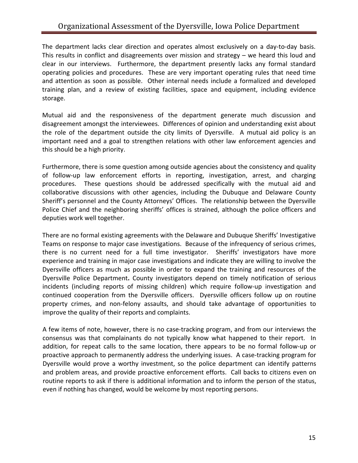The department lacks clear direction and operates almost exclusively on a day-to-day basis. This results in conflict and disagreements over mission and strategy – we heard this loud and clear in our interviews. Furthermore, the department presently lacks any formal standard operating policies and procedures. These are very important operating rules that need time and attention as soon as possible. Other internal needs include a formalized and developed training plan, and a review of existing facilities, space and equipment, including evidence storage.

Mutual aid and the responsiveness of the department generate much discussion and disagreement amongst the interviewees. Differences of opinion and understanding exist about the role of the department outside the city limits of Dyersville. A mutual aid policy is an important need and a goal to strengthen relations with other law enforcement agencies and this should be a high priority.

Furthermore, there is some question among outside agencies about the consistency and quality of follow‐up law enforcement efforts in reporting, investigation, arrest, and charging procedures. These questions should be addressed specifically with the mutual aid and collaborative discussions with other agencies, including the Dubuque and Delaware County Sheriff's personnel and the County Attorneys' Offices. The relationship between the Dyersville Police Chief and the neighboring sheriffs' offices is strained, although the police officers and deputies work well together.

There are no formal existing agreements with the Delaware and Dubuque Sheriffs' Investigative Teams on response to major case investigations. Because of the infrequency of serious crimes, there is no current need for a full time investigator. Sheriffs' investigators have more experience and training in major case investigations and indicate they are willing to involve the Dyersville officers as much as possible in order to expand the training and resources of the Dyersville Police Department**.** County investigators depend on timely notification of serious incidents (including reports of missing children) which require follow‐up investigation and continued cooperation from the Dyersville officers. Dyersville officers follow up on routine property crimes, and non‐felony assaults, and should take advantage of opportunities to improve the quality of their reports and complaints.

A few items of note, however, there is no case‐tracking program, and from our interviews the consensus was that complainants do not typically know what happened to their report. In addition, for repeat calls to the same location, there appears to be no formal follow‐up or proactive approach to permanently address the underlying issues. A case-tracking program for Dyersville would prove a worthy investment, so the police department can identify patterns and problem areas, and provide proactive enforcement efforts. Call backs to citizens even on routine reports to ask if there is additional information and to inform the person of the status, even if nothing has changed, would be welcome by most reporting persons.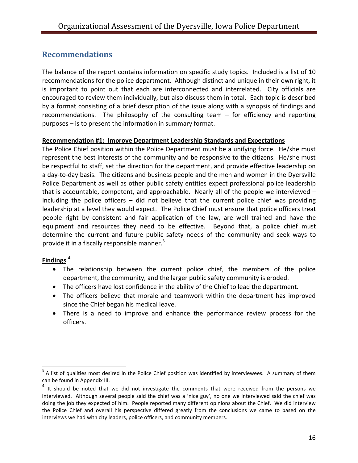### <span id="page-15-0"></span>**Recommendations**

The balance of the report contains information on specific study topics. Included is a list of 10 recommendations for the police department. Although distinct and unique in their own right, it is important to point out that each are interconnected and interrelated. City officials are encouraged to review them individually, but also discuss them in total. Each topic is described by a format consisting of a brief description of the issue along with a synopsis of findings and recommendations. The philosophy of the consulting team  $-$  for efficiency and reporting purposes – is to present the information in summary format.

#### **Recommendation #1: Improve Department Leadership Standards and Expectations**

The Police Chief position within the Police Department must be a unifying force. He/she must represent the best interests of the community and be responsive to the citizens. He/she must be respectful to staff, set the direction for the department, and provide effective leadership on a day-to-day basis. The citizens and business people and the men and women in the Dyersville Police Department as well as other public safety entities expect professional police leadership that is accountable, competent, and approachable. Nearly all of the people we interviewed – including the police officers – did not believe that the current police chief was providing leadership at a level they would expect. The Police Chief must ensure that police officers treat people right by consistent and fair application of the law, are well trained and have the equipment and resources they need to be effective. Beyond that, a police chief must determine the current and future public safety needs of the community and seek ways to provide it in a fiscally responsible manner.<sup>3</sup>

#### **Findings** [4](#page-15-2)

- The relationship between the current police chief, the members of the police department, the community, and the larger public safety community is eroded.
- The officers have lost confidence in the ability of the Chief to lead the department.
- The officers believe that morale and teamwork within the department has improved since the Chief began his medical leave.
- There is a need to improve and enhance the performance review process for the officers.

<span id="page-15-1"></span><sup>&</sup>lt;u> 1989 - Johann Stein, marwolaethau a bh</u>  $3$  A list of qualities most desired in the Police Chief position was identified by interviewees. A summary of them can be found in Appendix III.

<span id="page-15-2"></span> $4$  It should be noted that we did not investigate the comments that were received from the persons we interviewed. Although several people said the chief was a 'nice guy', no one we interviewed said the chief was doing the job they expected of him. People reported many different opinions about the Chief. We did interview the Police Chief and overall his perspective differed greatly from the conclusions we came to based on the interviews we had with city leaders, police officers, and community members.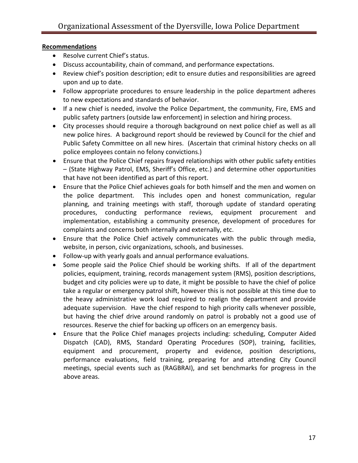#### **Recommendations**

- Resolve current Chief's status.
- Discuss accountability, chain of command, and performance expectations.
- Review chief's position description; edit to ensure duties and responsibilities are agreed upon and up to date.
- Follow appropriate procedures to ensure leadership in the police department adheres to new expectations and standards of behavior.
- If a new chief is needed, involve the Police Department, the community, Fire, EMS and public safety partners (outside law enforcement) in selection and hiring process.
- City processes should require a thorough background on next police chief as well as all new police hires. A background report should be reviewed by Council for the chief and Public Safety Committee on all new hires. (Ascertain that criminal history checks on all police employees contain no felony convictions.)
- Ensure that the Police Chief repairs frayed relationships with other public safety entities – (State Highway Patrol, EMS, Sheriff's Office, etc.) and determine other opportunities that have not been identified as part of this report.
- Ensure that the Police Chief achieves goals for both himself and the men and women on the police department. This includes open and honest communication, regular planning, and training meetings with staff, thorough update of standard operating procedures, conducting performance reviews, equipment procurement and implementation, establishing a community presence, development of procedures for complaints and concerns both internally and externally, etc.
- Ensure that the Police Chief actively communicates with the public through media, website, in person, civic organizations, schools, and businesses.
- Follow‐up with yearly goals and annual performance evaluations.
- Some people said the Police Chief should be working shifts. If all of the department policies, equipment, training, records management system (RMS), position descriptions, budget and city policies were up to date, it might be possible to have the chief of police take a regular or emergency patrol shift, however this is not possible at this time due to the heavy administrative work load required to realign the department and provide adequate supervision. Have the chief respond to high priority calls whenever possible, but having the chief drive around randomly on patrol is probably not a good use of resources. Reserve the chief for backing up officers on an emergency basis.
- Ensure that the Police Chief manages projects including: scheduling, Computer Aided Dispatch (CAD), RMS, Standard Operating Procedures (SOP), training, facilities, equipment and procurement, property and evidence, position descriptions, performance evaluations, field training, preparing for and attending City Council meetings, special events such as (RAGBRAI), and set benchmarks for progress in the above areas.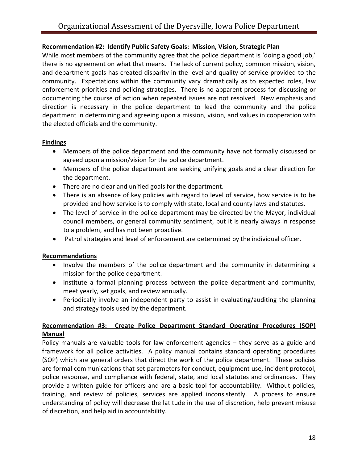#### **Recommendation #2: Identify Public Safety Goals: Mission, Vision, Strategic Plan**

While most members of the community agree that the police department is 'doing a good job,' there is no agreement on what that means. The lack of current policy, common mission, vision, and department goals has created disparity in the level and quality of service provided to the community. Expectations within the community vary dramatically as to expected roles, law enforcement priorities and policing strategies. There is no apparent process for discussing or documenting the course of action when repeated issues are not resolved. New emphasis and direction is necessary in the police department to lead the community and the police department in determining and agreeing upon a mission, vision, and values in cooperation with the elected officials and the community.

#### **Findings**

- Members of the police department and the community have not formally discussed or agreed upon a mission/vision for the police department.
- Members of the police department are seeking unifying goals and a clear direction for the department.
- There are no clear and unified goals for the department.
- There is an absence of key policies with regard to level of service, how service is to be provided and how service is to comply with state, local and county laws and statutes.
- The level of service in the police department may be directed by the Mayor, individual council members, or general community sentiment, but it is nearly always in response to a problem, and has not been proactive.
- Patrol strategies and level of enforcement are determined by the individual officer.

#### **Recommendations**

- Involve the members of the police department and the community in determining a mission for the police department.
- Institute a formal planning process between the police department and community, meet yearly, set goals, and review annually.
- Periodically involve an independent party to assist in evaluating/auditing the planning and strategy tools used by the department.

#### **Recommendation #3: Create Police Department Standard Operating Procedures (SOP) Manual**

Policy manuals are valuable tools for law enforcement agencies – they serve as a guide and framework for all police activities. A policy manual contains standard operating procedures (SOP) which are general orders that direct the work of the police department. These policies are formal communications that set parameters for conduct, equipment use, incident protocol, police response, and compliance with federal, state, and local statutes and ordinances. They provide a written guide for officers and are a basic tool for accountability. Without policies, training, and review of policies, services are applied inconsistently. A process to ensure understanding of policy will decrease the latitude in the use of discretion, help prevent misuse of discretion, and help aid in accountability.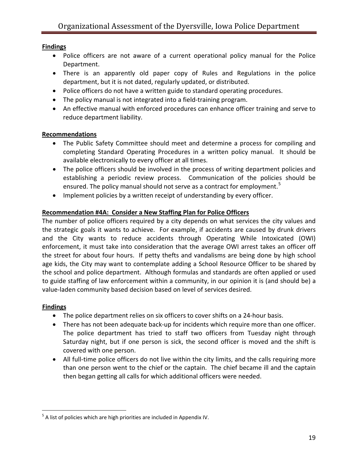#### **Findings**

- Police officers are not aware of a current operational policy manual for the Police Department.
- There is an apparently old paper copy of Rules and Regulations in the police department, but it is not dated, regularly updated, or distributed.
- Police officers do not have a written guide to standard operating procedures.
- The policy manual is not integrated into a field‐training program.
- An effective manual with enforced procedures can enhance officer training and serve to reduce department liability.

#### **Recommendations**

- The Public Safety Committee should meet and determine a process for compiling and completing Standard Operating Procedures in a written policy manual. It should be available electronically to every officer at all times.
- The police officers should be involved in the process of writing department policies and establishing a periodic review process. Communication of the policies should be ensured. The policy manual should not serve as a contract for employment.<sup>[5](#page-18-0)</sup>
- Implement policies by a written receipt of understanding by every officer.

#### **Recommendation #4A: Consider a New Staffing Plan for Police Officers**

The number of police officers required by a city depends on what services the city values and the strategic goals it wants to achieve. For example, if accidents are caused by drunk drivers and the City wants to reduce accidents through Operating While Intoxicated (OWI) enforcement, it must take into consideration that the average OWI arrest takes an officer off the street for about four hours. If petty thefts and vandalisms are being done by high school age kids, the City may want to contemplate adding a School Resource Officer to be shared by the school and police department. Although formulas and standards are often applied or used to guide staffing of law enforcement within a community, in our opinion it is (and should be) a value‐laden community based decision based on level of services desired.

#### **Findings**

- The police department relies on six officers to cover shifts on a 24‐hour basis.
- There has not been adequate back‐up for incidents which require more than one officer. The police department has tried to staff two officers from Tuesday night through Saturday night, but if one person is sick, the second officer is moved and the shift is covered with one person.
- All full-time police officers do not live within the city limits, and the calls requiring more than one person went to the chief or the captain. The chief became ill and the captain then began getting all calls for which additional officers were needed.

<span id="page-18-0"></span>  $5$  A list of policies which are high priorities are included in Appendix IV.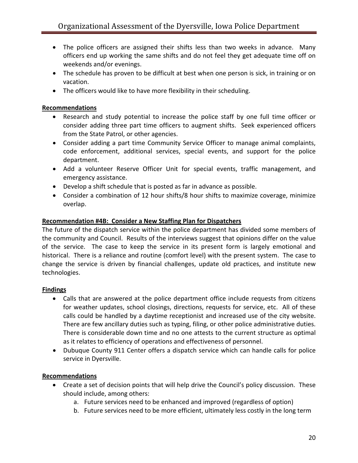- The police officers are assigned their shifts less than two weeks in advance. Many officers end up working the same shifts and do not feel they get adequate time off on weekends and/or evenings.
- The schedule has proven to be difficult at best when one person is sick, in training or on vacation.
- The officers would like to have more flexibility in their scheduling.

#### **Recommendations**

- Research and study potential to increase the police staff by one full time officer or consider adding three part time officers to augment shifts. Seek experienced officers from the State Patrol, or other agencies.
- Consider adding a part time Community Service Officer to manage animal complaints, code enforcement, additional services, special events, and support for the police department.
- Add a volunteer Reserve Officer Unit for special events, traffic management, and emergency assistance.
- Develop a shift schedule that is posted as far in advance as possible.
- Consider a combination of 12 hour shifts/8 hour shifts to maximize coverage, minimize overlap.

#### **Recommendation #4B: Consider a New Staffing Plan for Dispatchers**

The future of the dispatch service within the police department has divided some members of the community and Council. Results of the interviews suggest that opinions differ on the value of the service. The case to keep the service in its present form is largely emotional and historical. There is a reliance and routine (comfort level) with the present system. The case to change the service is driven by financial challenges, update old practices, and institute new technologies.

#### **Findings**

- Calls that are answered at the police department office include requests from citizens for weather updates, school closings, directions, requests for service, etc. All of these calls could be handled by a daytime receptionist and increased use of the city website. There are few ancillary duties such as typing, filing, or other police administrative duties. There is considerable down time and no one attests to the current structure as optimal as it relates to efficiency of operations and effectiveness of personnel.
- Dubuque County 911 Center offers a dispatch service which can handle calls for police service in Dyersville.

#### **Recommendations**

- Create a set of decision points that will help drive the Council's policy discussion. These should include, among others:
	- a. Future services need to be enhanced and improved (regardless of option)
	- b. Future services need to be more efficient, ultimately less costly in the long term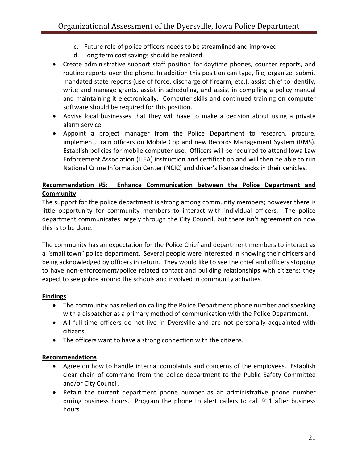- c. Future role of police officers needs to be streamlined and improved
- d. Long term cost savings should be realized
- Create administrative support staff position for daytime phones, counter reports, and routine reports over the phone. In addition this position can type, file, organize, submit mandated state reports (use of force, discharge of firearm, etc.), assist chief to identify, write and manage grants, assist in scheduling, and assist in compiling a policy manual and maintaining it electronically. Computer skills and continued training on computer software should be required for this position.
- Advise local businesses that they will have to make a decision about using a private alarm service.
- Appoint a project manager from the Police Department to research, procure, implement, train officers on Mobile Cop and new Records Management System (RMS). Establish policies for mobile computer use. Officers will be required to attend Iowa Law Enforcement Association (ILEA) instruction and certification and will then be able to run National Crime Information Center (NCIC) and driver's license checks in their vehicles.

#### **Recommendation #5: Enhance Communication between the Police Department and Community**

The support for the police department is strong among community members; however there is little opportunity for community members to interact with individual officers. The police department communicates largely through the City Council, but there isn't agreement on how this is to be done.

The community has an expectation for the Police Chief and department members to interact as a "small town" police department. Several people were interested in knowing their officers and being acknowledged by officers in return. They would like to see the chief and officers stopping to have non-enforcement/police related contact and building relationships with citizens; they expect to see police around the schools and involved in community activities.

#### **Findings**

- The community has relied on calling the Police Department phone number and speaking with a dispatcher as a primary method of communication with the Police Department.
- All full-time officers do not live in Dyersville and are not personally acquainted with citizens.
- The officers want to have a strong connection with the citizens.

#### **Recommendations**

- Agree on how to handle internal complaints and concerns of the employees. Establish clear chain of command from the police department to the Public Safety Committee and/or City Council.
- Retain the current department phone number as an administrative phone number during business hours. Program the phone to alert callers to call 911 after business hours.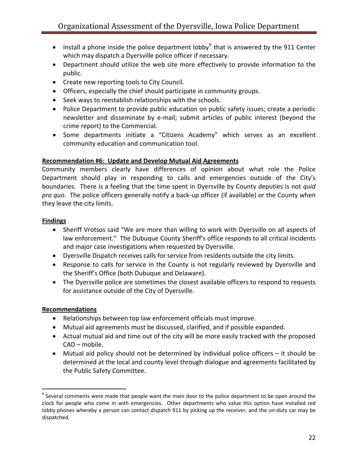- Install a phone inside the police department lobby<sup>[6](#page-21-0)</sup> that is answered by the 911 Center which may dispatch a Dyersville police officer if necessary.
- Department should utilize the web site more effectively to provide information to the public.
- Create new reporting tools to City Council.
- Officers, especially the chief should participate in community groups.
- Seek ways to reestablish relationships with the schools.
- Police Department to provide public education on public safety issues; create a periodic newsletter and disseminate by e‐mail; submit articles of public interest (beyond the crime report) to the Commercial.
- Some departments initiate a "Citizens Academy" which serves as an excellent community education and communication tool.

#### **Recommendation #6: Update and Develop Mutual Aid Agreements**

Community members clearly have differences of opinion about what role the Police Department should play in responding to calls and emergencies outside of the City's boundaries. There is a feeling that the time spent in Dyersville by County deputies is not *quid pro quo.* The police officers generally notify a back‐up officer (if available) or the County when they leave the city limits.

#### **Findings**

- Sheriff Vrotsos said "We are more than willing to work with Dyersville on all aspects of law enforcement." The Dubuque County Sheriff's office responds to all critical incidents and major case investigations when requested by Dyersville.
- Dyersville Dispatch receives calls for service from residents outside the city limits.
- Response to calls for service in the County is not regularly reviewed by Dyersville and the Sheriff's Office (both Dubuque and Delaware).
- The Dyersville police are sometimes the closest available officers to respond to requests for assistance outside of the City of Dyersville.

#### **Recommendations**

- Relationships between top law enforcement officials must improve.
- Mutual aid agreements must be discussed, clarified, and if possible expanded.
- Actual mutual aid and time out of the city will be more easily tracked with the proposed CAD – mobile.
- Mutual aid policy should not be determined by individual police officers it should be determined at the local and county level through dialogue and agreements facilitated by the Public Safety Committee.

<span id="page-21-0"></span> $6$  Several comments were made that people want the main door to the police department to be open around the clock for people who come in with emergencies. Other departments who value this option have installed red lobby phones whereby a person can contact dispatch 911 by picking up the receiver, and the on‐duty car may be dispatched.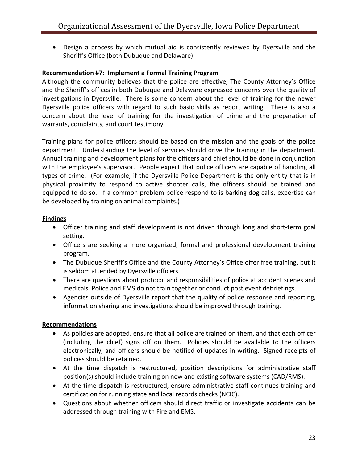• Design a process by which mutual aid is consistently reviewed by Dyersville and the Sheriff's Office (both Dubuque and Delaware).

#### **Recommendation #7: Implement a Formal Training Program**

Although the community believes that the police are effective, The County Attorney's Office and the Sheriff's offices in both Dubuque and Delaware expressed concerns over the quality of investigations in Dyersville. There is some concern about the level of training for the newer Dyersville police officers with regard to such basic skills as report writing. There is also a concern about the level of training for the investigation of crime and the preparation of warrants, complaints, and court testimony.

Training plans for police officers should be based on the mission and the goals of the police department. Understanding the level of services should drive the training in the department. Annual training and development plans for the officers and chief should be done in conjunction with the employee's supervisor. People expect that police officers are capable of handling all types of crime. (For example, if the Dyersville Police Department is the only entity that is in physical proximity to respond to active shooter calls, the officers should be trained and equipped to do so. If a common problem police respond to is barking dog calls, expertise can be developed by training on animal complaints.)

#### **Findings**

- Officer training and staff development is not driven through long and short-term goal setting.
- Officers are seeking a more organized, formal and professional development training program.
- The Dubuque Sheriff's Office and the County Attorney's Office offer free training, but it is seldom attended by Dyersville officers.
- There are questions about protocol and responsibilities of police at accident scenes and medicals. Police and EMS do not train together or conduct post event debriefings.
- Agencies outside of Dyersville report that the quality of police response and reporting, information sharing and investigations should be improved through training.

#### **Recommendations**

- As policies are adopted, ensure that all police are trained on them, and that each officer (including the chief) signs off on them. Policies should be available to the officers electronically, and officers should be notified of updates in writing. Signed receipts of policies should be retained.
- At the time dispatch is restructured, position descriptions for administrative staff position(s) should include training on new and existing software systems (CAD/RMS).
- At the time dispatch is restructured, ensure administrative staff continues training and certification for running state and local records checks (NCIC).
- Questions about whether officers should direct traffic or investigate accidents can be addressed through training with Fire and EMS.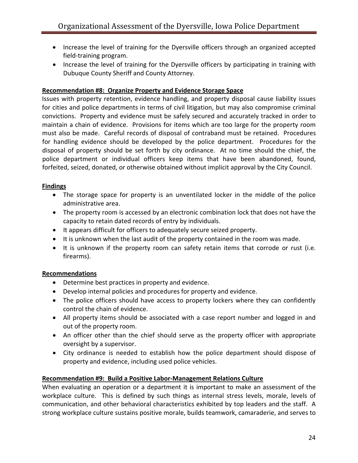- Increase the level of training for the Dyersville officers through an organized accepted field‐training program.
- Increase the level of training for the Dyersville officers by participating in training with Dubuque County Sheriff and County Attorney.

#### **Recommendation #8: Organize Property and Evidence Storage Space**

Issues with property retention, evidence handling, and property disposal cause liability issues for cities and police departments in terms of civil litigation, but may also compromise criminal convictions. Property and evidence must be safely secured and accurately tracked in order to maintain a chain of evidence. Provisions for items which are too large for the property room must also be made. Careful records of disposal of contraband must be retained. Procedures for handling evidence should be developed by the police department. Procedures for the disposal of property should be set forth by city ordinance. At no time should the chief, the police department or individual officers keep items that have been abandoned, found, forfeited, seized, donated, or otherwise obtained without implicit approval by the City Council.

#### **Findings**

- The storage space for property is an unventilated locker in the middle of the police administrative area.
- The property room is accessed by an electronic combination lock that does not have the capacity to retain dated records of entry by individuals.
- It appears difficult for officers to adequately secure seized property.
- It is unknown when the last audit of the property contained in the room was made.
- It is unknown if the property room can safety retain items that corrode or rust (i.e. firearms).

#### **Recommendations**

- Determine best practices in property and evidence.
- Develop internal policies and procedures for property and evidence.
- The police officers should have access to property lockers where they can confidently control the chain of evidence.
- All property items should be associated with a case report number and logged in and out of the property room.
- An officer other than the chief should serve as the property officer with appropriate oversight by a supervisor.
- City ordinance is needed to establish how the police department should dispose of property and evidence, including used police vehicles.

#### **Recommendation #9: Build a Positive Labor‐Management Relations Culture**

When evaluating an operation or a department it is important to make an assessment of the workplace culture. This is defined by such things as internal stress levels, morale, levels of communication, and other behavioral characteristics exhibited by top leaders and the staff. A strong workplace culture sustains positive morale, builds teamwork, camaraderie, and serves to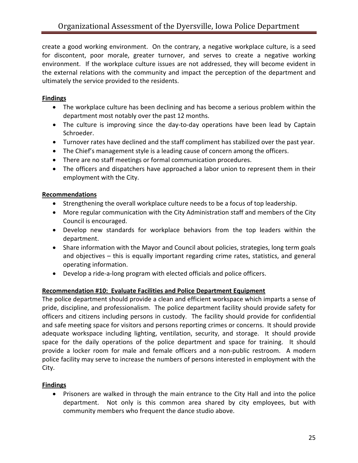create a good working environment. On the contrary, a negative workplace culture, is a seed for discontent, poor morale, greater turnover, and serves to create a negative working environment. If the workplace culture issues are not addressed, they will become evident in the external relations with the community and impact the perception of the department and ultimately the service provided to the residents.

#### **Findings**

- The workplace culture has been declining and has become a serious problem within the department most notably over the past 12 months.
- The culture is improving since the day-to-day operations have been lead by Captain Schroeder.
- Turnover rates have declined and the staff compliment has stabilized over the past year.
- The Chief's management style is a leading cause of concern among the officers.
- There are no staff meetings or formal communication procedures.
- The officers and dispatchers have approached a labor union to represent them in their employment with the City.

#### **Recommendations**

- Strengthening the overall workplace culture needs to be a focus of top leadership.
- More regular communication with the City Administration staff and members of the City Council is encouraged.
- Develop new standards for workplace behaviors from the top leaders within the department.
- Share information with the Mayor and Council about policies, strategies, long term goals and objectives – this is equally important regarding crime rates, statistics, and general operating information.
- Develop a ride‐a‐long program with elected officials and police officers.

#### **Recommendation #10: Evaluate Facilities and Police Department Equipment**

The police department should provide a clean and efficient workspace which imparts a sense of pride, discipline, and professionalism. The police department facility should provide safety for officers and citizens including persons in custody. The facility should provide for confidential and safe meeting space for visitors and persons reporting crimes or concerns. It should provide adequate workspace including lighting, ventilation, security, and storage. It should provide space for the daily operations of the police department and space for training. It should provide a locker room for male and female officers and a non‐public restroom. A modern police facility may serve to increase the numbers of persons interested in employment with the City.

#### **Findings**

• Prisoners are walked in through the main entrance to the City Hall and into the police department. Not only is this common area shared by city employees, but with community members who frequent the dance studio above.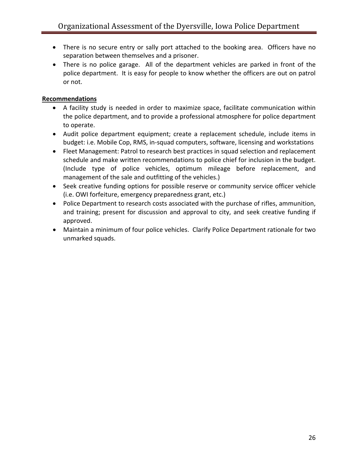- There is no secure entry or sally port attached to the booking area. Officers have no separation between themselves and a prisoner.
- There is no police garage. All of the department vehicles are parked in front of the police department. It is easy for people to know whether the officers are out on patrol or not.

#### **Recommendations**

- A facility study is needed in order to maximize space, facilitate communication within the police department, and to provide a professional atmosphere for police department to operate.
- Audit police department equipment; create a replacement schedule, include items in budget: i.e. Mobile Cop, RMS, in‐squad computers, software, licensing and workstations
- Fleet Management: Patrol to research best practices in squad selection and replacement schedule and make written recommendations to police chief for inclusion in the budget. (Include type of police vehicles, optimum mileage before replacement, and management of the sale and outfitting of the vehicles.)
- Seek creative funding options for possible reserve or community service officer vehicle (i.e. OWI forfeiture, emergency preparedness grant, etc.)
- Police Department to research costs associated with the purchase of rifles, ammunition, and training; present for discussion and approval to city, and seek creative funding if approved.
- Maintain a minimum of four police vehicles. Clarify Police Department rationale for two unmarked squads.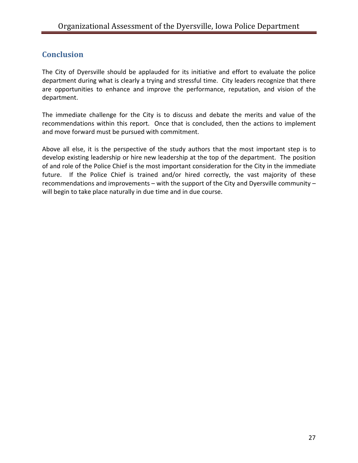### <span id="page-26-0"></span>**Conclusion**

The City of Dyersville should be applauded for its initiative and effort to evaluate the police department during what is clearly a trying and stressful time. City leaders recognize that there are opportunities to enhance and improve the performance, reputation, and vision of the department.

The immediate challenge for the City is to discuss and debate the merits and value of the recommendations within this report. Once that is concluded, then the actions to implement and move forward must be pursued with commitment.

Above all else, it is the perspective of the study authors that the most important step is to develop existing leadership or hire new leadership at the top of the department. The position of and role of the Police Chief is the most important consideration for the City in the immediate future. If the Police Chief is trained and/or hired correctly, the vast majority of these recommendations and improvements – with the support of the City and Dyersville community – will begin to take place naturally in due time and in due course.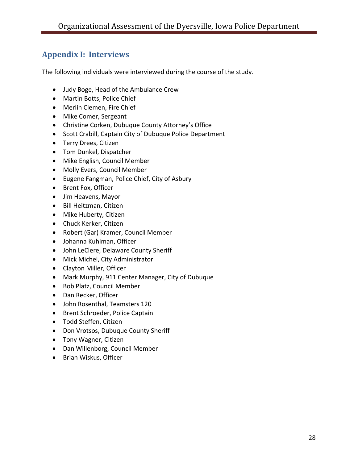### <span id="page-27-0"></span>**Appendix I: Interviews**

The following individuals were interviewed during the course of the study.

- Judy Boge, Head of the Ambulance Crew
- Martin Botts, Police Chief
- Merlin Clemen, Fire Chief
- Mike Comer, Sergeant
- Christine Corken, Dubuque County Attorney's Office
- Scott Crabill, Captain City of Dubuque Police Department
- Terry Drees, Citizen
- Tom Dunkel, Dispatcher
- Mike English, Council Member
- Molly Evers, Council Member
- Eugene Fangman, Police Chief, City of Asbury
- Brent Fox, Officer
- Jim Heavens, Mayor
- Bill Heitzman, Citizen
- Mike Huberty, Citizen
- Chuck Kerker, Citizen
- Robert (Gar) Kramer, Council Member
- Johanna Kuhlman, Officer
- John LeClere, Delaware County Sheriff
- Mick Michel, City Administrator
- Clayton Miller, Officer
- Mark Murphy, 911 Center Manager, City of Dubuque
- Bob Platz, Council Member
- Dan Recker, Officer
- John Rosenthal, Teamsters 120
- Brent Schroeder, Police Captain
- Todd Steffen, Citizen
- Don Vrotsos, Dubuque County Sheriff
- Tony Wagner, Citizen
- Dan Willenborg, Council Member
- Brian Wiskus, Officer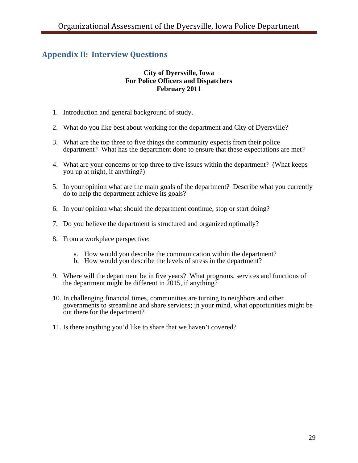### <span id="page-28-0"></span>**Appendix II: Interview Questions**

#### **City of Dyersville, Iowa For Police Officers and Dispatchers February 2011**

- 1. Introduction and general background of study.
- 2. What do you like best about working for the department and City of Dyersville?
- 3. What are the top three to five things the community expects from their police department? What has the department done to ensure that these expectations are met?
- 4. What are your concerns or top three to five issues within the department? (What keeps you up at night, if anything?)
- 5. In your opinion what are the main goals of the department? Describe what you currently do to help the department achieve its goals?
- 6. In your opinion what should the department continue, stop or start doing?
- 7. Do you believe the department is structured and organized optimally?
- 8. From a workplace perspective:
	- a. How would you describe the communication within the department?
	- b. How would you describe the levels of stress in the department?
- 9. Where will the department be in five years? What programs, services and functions of the department might be different in 2015, if anything?
- 10. In challenging financial times, communities are turning to neighbors and other governments to streamline and share services; in your mind, what opportunities might be out there for the department?
- 11. Is there anything you'd like to share that we haven't covered?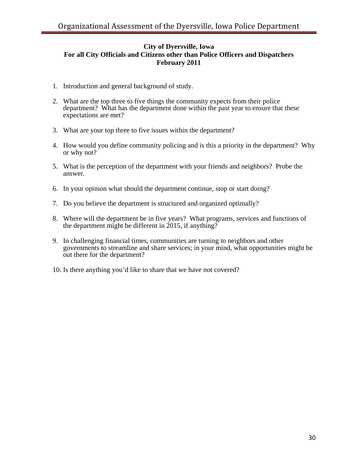#### **City of Dyersville, Iowa For all City Officials and Citizens other than Police Officers and Dispatchers February 2011**

- 1. Introduction and general background of study.
- 2. What are the top three to five things the community expects from their police department? What has the department done within the past year to ensure that these expectations are met?
- 3. What are your top three to five issues within the department?
- 4. How would you define community policing and is this a priority in the department? Why or why not?
- 5. What is the perception of the department with your friends and neighbors? Probe the answer.
- 6. In your opinion what should the department continue, stop or start doing?
- 7. Do you believe the department is structured and organized optimally?
- 8. Where will the department be in five years? What programs, services and functions of the department might be different in 2015, if anything?
- 9. In challenging financial times, communities are turning to neighbors and other governments to streamline and share services; in your mind, what opportunities might be out there for the department?
- 10. Is there anything you'd like to share that we have not covered?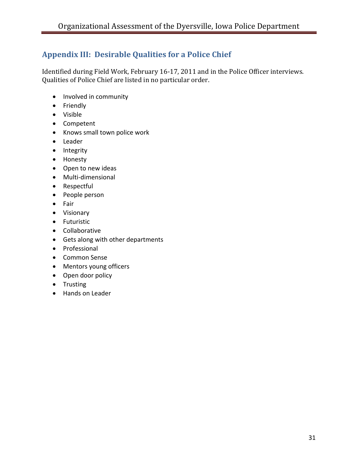### <span id="page-30-0"></span>**Appendix III: Desirable Qualities for a Police Chief**

dentified during Field Work, February 16‐17, 2011 and in the Police Officer interviews. I Qualities of Police Chief are listed in no particular order.

- Involved in community
- Friendly
- Visible
- Competent
- Knows small town police work
- Leader
- Integrity
- Honesty
- Open to new ideas
- Multi‐dimensional
- Respectful
- People person
- Fair
- Visionary
- Futuristic
- Collaborative
- Gets along with other departments
- Professional
- Common Sense
- Mentors young officers
- Open door policy
- Trusting
- Hands on Leader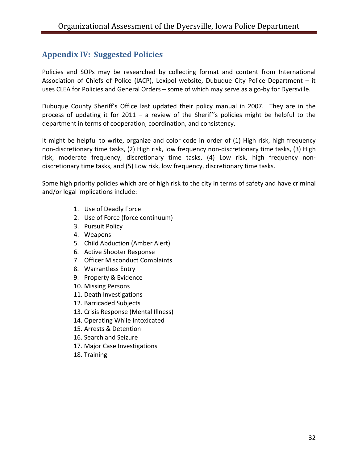### <span id="page-31-0"></span>**Appendix IV: Suggested Policies**

Policies and SOPs may be researched by collecting format and content from International Association of Chiefs of Police (IACP), Lexipol website, Dubuque City Police Department – it uses CLEA for Policies and General Orders – some of which may serve as a go-by for Dyersville.

Dubuque County Sheriff's Office last updated their policy manual in 2007. They are in the process of updating it for 2011 – a review of the Sheriff's policies might be helpful to the department in terms of cooperation, coordination, and consistency.

It might be helpful to write, organize and color code in order of (1) High risk, high frequency non-discretionary time tasks, (2) High risk, low frequency non-discretionary time tasks, (3) High risk, moderate frequency, discretionary time tasks, (4) Low risk, high frequency non‐ discretionary time tasks, and (5) Low risk, low frequency, discretionary time tasks.

Some high priority policies which are of high risk to the city in terms of safety and have criminal and/or legal implications include:

- 1. Use of Deadly Force
- 2. Use of Force (force continuum)
- 3. Pursuit Policy
- 4. Weapons
- 5. Child Abduction (Amber Alert)
- 6. Active Shooter Response
- 7. Officer Misconduct Complaints
- 8. Warrantless Entry
- 9. Property & Evidence
- 10. Missing Persons
- 11. Death Investigations
- 12. Barricaded Subjects
- 13. Crisis Response (Mental Illness)
- 14. Operating While Intoxicated
- 15. Arrests & Detention
- 16. Search and Seizure
- 17. Major Case Investigations
- 18. Training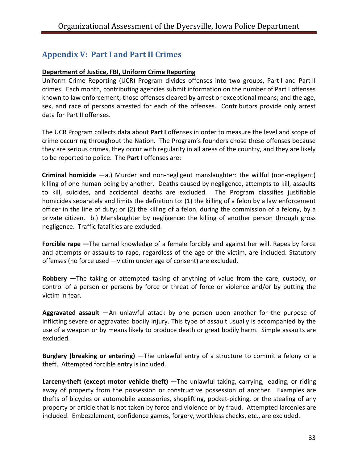### <span id="page-32-0"></span>**Appendix V: Part I and Part II Crimes**

#### **Department of Justice, FBI, Uniform Crime Reporting**

Uniform Crime Reporting (UCR) Program divides offenses into two groups, Part I and Part II crimes. Each month, contributing agencies submit information on the number of Part I offenses known to law enforcement; those offenses cleared by arrest or exceptional means; and the age, sex, and race of persons arrested for each of the offenses. Contributors provide only arrest data for Part II offenses.

The UCR Program collects data about **Part I** offenses in order to measure the level and scope of crime occurring throughout the Nation. The Program's founders chose these offenses because they are serious crimes, they occur with regularity in all areas of the country, and they are likely to be reported to police. The **Part I** offenses are:

**Criminal homicide** —a.) Murder and non-negligent manslaughter: the willful (non-negligent) killing of one human being by another. Deaths caused by negligence, attempts to kill, assaults to kill, suicides, and accidental deaths are excluded. The Program classifies justifiable homicides separately and limits the definition to: (1) the killing of a felon by a law enforcement officer in the line of duty; or (2) the killing of a felon, during the commission of a felony, by a private citizen. b.) Manslaughter by negligence: the killing of another person through gross negligence. Traffic fatalities are excluded.

**Forcible rape ―**The carnal knowledge of a female forcibly and against her will. Rapes by force and attempts or assaults to rape, regardless of the age of the victim, are included. Statutory offenses (no force used ―victim under age of consent) are excluded.

**Robbery ―**The taking or attempted taking of anything of value from the care, custody, or control of a person or persons by force or threat of force or violence and/or by putting the victim in fear.

**Aggravated assault ―**An unlawful attack by one person upon another for the purpose of inflicting severe or aggravated bodily injury. This type of assault usually is accompanied by the use of a weapon or by means likely to produce death or great bodily harm. Simple assaults are excluded.

**Burglary (breaking or entering)** ―The unlawful entry of a structure to commit a felony or a theft. Attempted forcible entry is included.

**Larceny‐theft (except motor vehicle theft)** ―The unlawful taking, carrying, leading, or riding away of property from the possession or constructive possession of another. Examples are thefts of bicycles or automobile accessories, shoplifting, pocket‐picking, or the stealing of any property or article that is not taken by force and violence or by fraud. Attempted larcenies are included. Embezzlement, confidence games, forgery, worthless checks, etc., are excluded.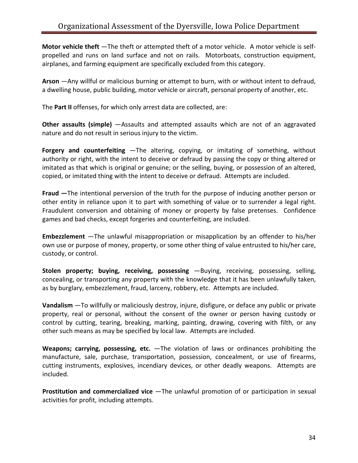**Motor vehicle theft** ―The theft or attempted theft of a motor vehicle. A motor vehicle is self‐ propelled and runs on land surface and not on rails. Motorboats, construction equipment, airplanes, and farming equipment are specifically excluded from this category.

**Arson** ―Any willful or malicious burning or attempt to burn, with or without intent to defraud, a dwelling house, public building, motor vehicle or aircraft, personal property of another, etc.

The **Part II** offenses, for which only arrest data are collected, are:

**Other assaults (simple)** ―Assaults and attempted assaults which are not of an aggravated nature and do not result in serious injury to the victim.

**Forgery and counterfeiting** ―The altering, copying, or imitating of something, without authority or right, with the intent to deceive or defraud by passing the copy or thing altered or imitated as that which is original or genuine; or the selling, buying, or possession of an altered, copied, or imitated thing with the intent to deceive or defraud. Attempts are included.

**Fraud ―**The intentional perversion of the truth for the purpose of inducing another person or other entity in reliance upon it to part with something of value or to surrender a legal right. Fraudulent conversion and obtaining of money or property by false pretenses. Confidence games and bad checks, except forgeries and counterfeiting, are included.

**Embezzlement** —The unlawful misappropriation or misapplication by an offender to his/her own use or purpose of money, property, or some other thing of value entrusted to his/her care, custody, or control.

**Stolen property; buying, receiving, possessing** ―Buying, receiving, possessing, selling, concealing, or transporting any property with the knowledge that it has been unlawfully taken, as by burglary, embezzlement, fraud, larceny, robbery, etc. Attempts are included.

**Vandalism** ―To willfully or maliciously destroy, injure, disfigure, or deface any public or private property, real or personal, without the consent of the owner or person having custody or control by cutting, tearing, breaking, marking, painting, drawing, covering with filth, or any other such means as may be specified by local law. Attempts are included.

**Weapons; carrying, possessing, etc.** ―The violation of laws or ordinances prohibiting the manufacture, sale, purchase, transportation, possession, concealment, or use of firearms, cutting instruments, explosives, incendiary devices, or other deadly weapons. Attempts are included.

**Prostitution and commercialized vice** ―The unlawful promotion of or participation in sexual activities for profit, including attempts.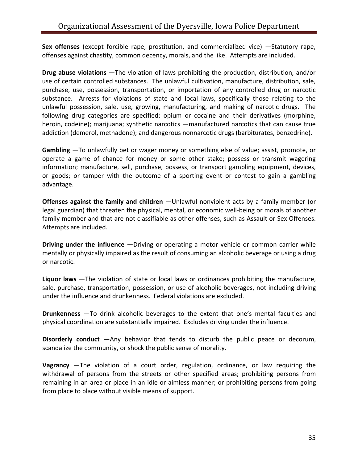**Sex offenses** (except forcible rape, prostitution, and commercialized vice) ―Statutory rape, offenses against chastity, common decency, morals, and the like. Attempts are included.

**Drug abuse violations** ―The violation of laws prohibiting the production, distribution, and/or use of certain controlled substances. The unlawful cultivation, manufacture, distribution, sale, purchase, use, possession, transportation, or importation of any controlled drug or narcotic substance. Arrests for violations of state and local laws, specifically those relating to the unlawful possession, sale, use, growing, manufacturing, and making of narcotic drugs. The following drug categories are specified: opium or cocaine and their derivatives (morphine, heroin, codeine); marijuana; synthetic narcotics —manufactured narcotics that can cause true addiction (demerol, methadone); and dangerous nonnarcotic drugs (barbiturates, benzedrine).

**Gambling** ―To unlawfully bet or wager money or something else of value; assist, promote, or operate a game of chance for money or some other stake; possess or transmit wagering information; manufacture, sell, purchase, possess, or transport gambling equipment, devices, or goods; or tamper with the outcome of a sporting event or contest to gain a gambling advantage.

**Offenses against the family and children** ―Unlawful nonviolent acts by a family member (or legal guardian) that threaten the physical, mental, or economic well-being or morals of another family member and that are not classifiable as other offenses, such as Assault or Sex Offenses. Attempts are included.

**Driving under the influence** ―Driving or operating a motor vehicle or common carrier while mentally or physically impaired as the result of consuming an alcoholic beverage or using a drug or narcotic.

**Liquor laws** ―The violation of state or local laws or ordinances prohibiting the manufacture, sale, purchase, transportation, possession, or use of alcoholic beverages, not including driving under the influence and drunkenness. Federal violations are excluded.

**Drunkenness** ―To drink alcoholic beverages to the extent that one's mental faculties and physical coordination are substantially impaired. Excludes driving under the influence.

**Disorderly conduct** ―Any behavior that tends to disturb the public peace or decorum, scandalize the community, or shock the public sense of morality.

**Vagrancy** ―The violation of a court order, regulation, ordinance, or law requiring the withdrawal of persons from the streets or other specified areas; prohibiting persons from remaining in an area or place in an idle or aimless manner; or prohibiting persons from going from place to place without visible means of support.